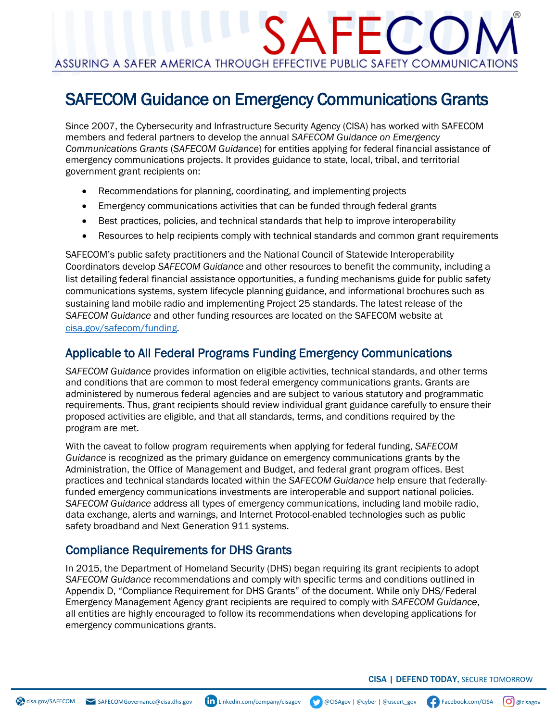## $\mathsf{A}\mathsf{H}\mathsf{H}$ ASSURING A SAFER AMERICA THROUGH EFFECTIVE PUBLIC SAFETY COMMUNICATIONS

### SAFECOM Guidance on Emergency Communications Grants

Since 2007, the Cybersecurity and Infrastructure Security Agency (CISA) has worked with SAFECOM members and federal partners to develop the annual *SAFECOM Guidance on Emergency Communications Grants* (*SAFECOM Guidance*) for entities applying for federal financial assistance of emergency communications projects. It provides guidance to state, local, tribal, and territorial government grant recipients on:

- Recommendations for planning, coordinating, and implementing projects
- Emergency communications activities that can be funded through federal grants
- Best practices, policies, and technical standards that help to improve interoperability
- Resources to help recipients comply with technical standards and common grant requirements

SAFECOM's public safety practitioners and the National Council of Statewide Interoperability Coordinators develop *SAFECOM Guidance* and other resources to benefit the community, including a list detailing federal financial assistance opportunities, a funding mechanisms guide for public safety communications systems, system lifecycle planning guidance, and informational brochures such as sustaining land mobile radio and implementing Project 25 standards. The latest release of the *SAFECOM Guidance* and other funding resources are located on the SAFECOM website at [cisa.gov/safecom/funding.](http://cisa.gov/safecom/funding)

#### Applicable to All Federal Programs Funding Emergency Communications

*SAFECOM Guidance* provides information on eligible activities, technical standards, and other terms and conditions that are common to most federal emergency communications grants. Grants are administered by numerous federal agencies and are subject to various statutory and programmatic requirements. Thus, grant recipients should review individual grant guidance carefully to ensure their proposed activities are eligible, and that all standards, terms, and conditions required by the program are met.

With the caveat to follow program requirements when applying for federal funding, *SAFECOM Guidance* is recognized as the primary guidance on emergency communications grants by the Administration, the Office of Management and Budget, and federal grant program offices. Best practices and technical standards located within the *SAFECOM Guidance* help ensure that federallyfunded emergency communications investments are interoperable and support national policies. *SAFECOM Guidance* address all types of emergency communications, including land mobile radio, data exchange, alerts and warnings, and Internet Protocol-enabled technologies such as public safety broadband and Next Generation 911 systems.

#### Compliance Requirements for DHS Grants

In 2015, the Department of Homeland Security (DHS) began requiring its grant recipients to adopt *SAFECOM Guidance* recommendations and comply with specific terms and conditions outlined in Appendix D, "Compliance Requirement for DHS Grants" of the document. While only DHS/Federal Emergency Management Agency grant recipients are required to comply with *SAFECOM Guidance*, all entities are highly encouraged to follow its recommendations when developing applications for emergency communications grants.

CISA | DEFEND TODAY, SECURE TOMORROW